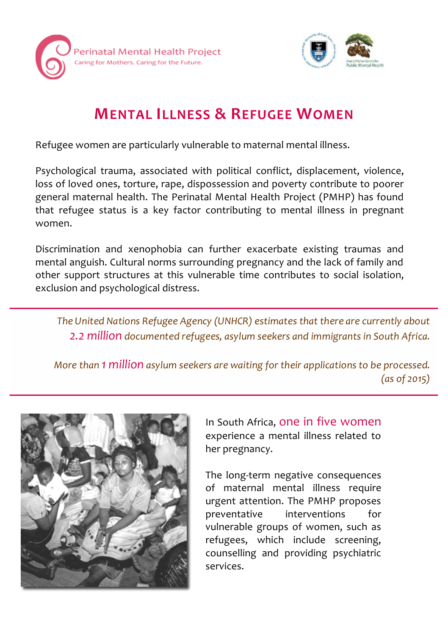



# **MENTAL ILLNESS & REFUGEE WOMEN**

Refugee women are particularly vulnerable to maternal mental illness.

Psychological trauma, associated with political conflict, displacement, violence, loss of loved ones, torture, rape, dispossession and poverty contribute to poorer general maternal health. The Perinatal Mental Health Project (PMHP) has found that refugee status is a key factor contributing to mental illness in pregnant women.

Discrimination and xenophobia can further exacerbate existing traumas and mental anguish. Cultural norms surrounding pregnancy and the lack of family and other support structures at this vulnerable time contributes to social isolation, exclusion and psychological distress.

*The United Nations Refugee Agency (UNHCR) estimates that there are currently about 2.2 million documented refugees, asylum seekers and immigrants in South Africa.*

*More than 1 million asylum seekers are waiting for their applications to be processed. (as of 2015)*



In South Africa, one in five women experience a mental illness related to her pregnancy.

The long-term negative consequences of maternal mental illness require urgent attention. The PMHP proposes preventative interventions for vulnerable groups of women, such as refugees, which include screening, counselling and providing psychiatric services.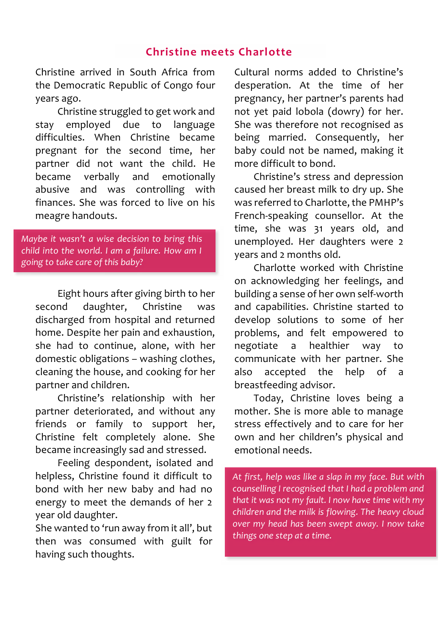#### **Christine meets Charlotte**

Christine arrived in South Africa from the Democratic Republic of Congo four years ago.

Christine struggled to get work and stay employed due to language difficulties. When Christine became pregnant for the second time, her partner did not want the child. He became verbally and emotionally abusive and was controlling with finances. She was forced to live on his meagre handouts.

*Maybe it wasn't a wise decision to bring this child into the world. I am a failure. How am I going to take care of this baby?*

Eight hours after giving birth to her second daughter, Christine was discharged from hospital and returned home. Despite her pain and exhaustion, she had to continue, alone, with her domestic obligations – washing clothes, cleaning the house, and cooking for her partner and children.

Christine's relationship with her partner deteriorated, and without any friends or family to support her, Christine felt completely alone. She became increasingly sad and stressed.

Feeling despondent, isolated and helpless, Christine found it difficult to bond with her new baby and had no energy to meet the demands of her 2 year old daughter.

She wanted to 'run away from it all', but then was consumed with guilt for having such thoughts.

Cultural norms added to Christine's desperation. At the time of her pregnancy, her partner's parents had not yet paid lobola (dowry) for her. She was therefore not recognised as being married. Consequently, her baby could not be named, making it more difficult to bond.

Christine's stress and depression caused her breast milk to dry up. She was referred to Charlotte, the PMHP's French-speaking counsellor. At the time, she was 31 years old, and unemployed. Her daughters were 2 years and 2 months old.

Charlotte worked with Christine on acknowledging her feelings, and building a sense of her own self-worth and capabilities. Christine started to develop solutions to some of her problems, and felt empowered to negotiate a healthier way to communicate with her partner. She also accepted the help of a breastfeeding advisor.

Today, Christine loves being a mother. She is more able to manage stress effectively and to care for her own and her children's physical and emotional needs.

*At first, help was like a slap in my face. But with counselling I recognised that I had a problem and that it was not my fault. I now have time with my children and the milk is flowing. The heavy cloud over my head has been swept away. I now take things one step at a time.*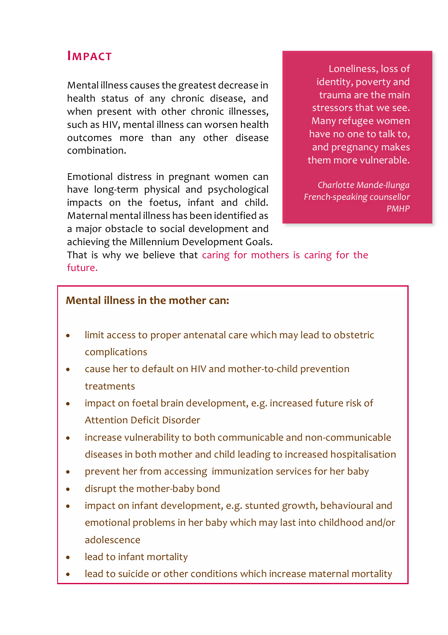### **IMPACT**

Mental illness causes the greatest decrease in health status of any chronic disease, and when present with other chronic illnesses, such as HIV, mental illness can worsen health outcomes more than any other disease combination.

Emotional distress in pregnant women can have long-term physical and psychological impacts on the foetus, infant and child. Maternal mental illness has been identified as a major obstacle to social development and achieving the Millennium Development Goals.

Loneliness, loss of identity, poverty and trauma are the main stressors that we see. Many refugee women have no one to talk to, and pregnancy makes them more vulnerable.

*Charlotte Mande-Ilunga French-speaking counsellor PMHP*

That is why we believe that caring for mothers is caring for the future.

#### **Mental illness in the mother can:**

- limit access to proper antenatal care which may lead to obstetric complications
- cause her to default on HIV and mother-to-child prevention treatments
- impact on foetal brain development, e.g. increased future risk of Attention Deficit Disorder
- increase vulnerability to both communicable and non-communicable diseases in both mother and child leading to increased hospitalisation
- prevent her from accessing immunization services for her baby
- disrupt the mother-baby bond
- impact on infant development, e.g. stunted growth, behavioural and emotional problems in her baby which may last into childhood and/or adolescence
- lead to infant mortality
- lead to suicide or other conditions which increase maternal mortality